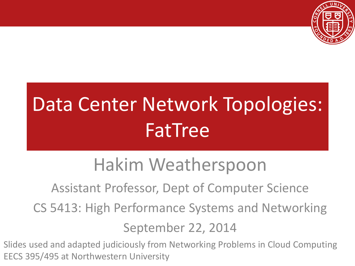

# Data Center Network Topologies: FatTree

#### Hakim Weatherspoon

Assistant Professor, Dept of Computer Science

CS 5413: High Performance Systems and Networking

September 22, 2014

Slides used and adapted judiciously from Networking Problems in Cloud Computing EECS 395/495 at Northwestern University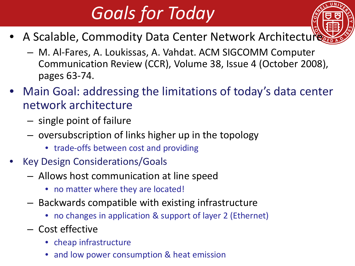# *Goals for Today*

- A Scalable, Commodity Data Center Network Architecture
	- M. Al-Fares, A. Loukissas, A. Vahdat. ACM SIGCOMM Computer Communication Review (CCR), Volume 38, Issue 4 (October 2008), pages 63-74.
- Main Goal: addressing the limitations of today's data center network architecture
	- single point of failure
	- oversubscription of links higher up in the topology
		- trade-offs between cost and providing
- Key Design Considerations/Goals
	- Allows host communication at line speed
		- no matter where they are located!
	- Backwards compatible with existing infrastructure
		- no changes in application & support of layer 2 (Ethernet)
	- Cost effective
		- cheap infrastructure
		- and low power consumption & heat emission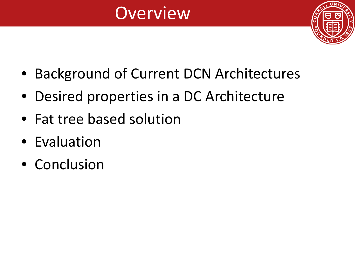### **Overview**



- Background of Current DCN Architectures
- Desired properties in a DC Architecture
- Fat tree based solution
- Evaluation
- Conclusion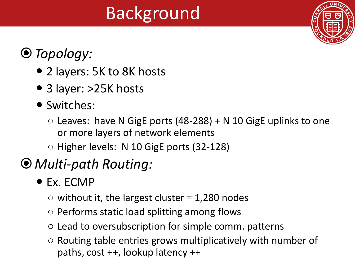## Background



#### *Topology:*

- 2 layers: 5K to 8K hosts
- 3 layer: >25K hosts
- Switches:
	- $\circ$  Leaves: have N GigE ports (48-288) + N 10 GigE uplinks to one or more layers of network elements
	- Higher levels: N 10 GigE ports (32-128)

#### *Multi-path Routing:*

- Ex. ECMP
	- $\circ$  without it, the largest cluster = 1,280 nodes
	- Performs static load splitting among flows
	- Lead to oversubscription for simple comm. patterns
	- Routing table entries grows multiplicatively with number of paths, cost ++, lookup latency ++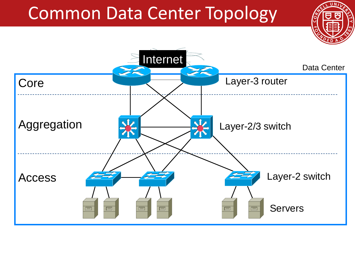#### Common Data Center Topology

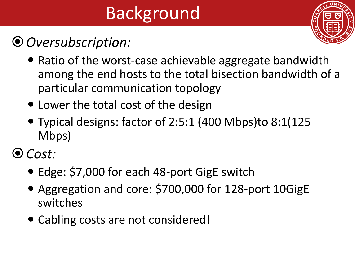# Background

#### *Oversubscription:*



- Ratio of the worst-case achievable aggregate bandwidth among the end hosts to the total bisection bandwidth of a particular communication topology
- Lower the total cost of the design
- Typical designs: factor of 2:5:1 (400 Mbps)to 8:1(125 Mbps)
- *Cost:*
	- Edge: \$7,000 for each 48-port GigE switch
	- Aggregation and core: \$700,000 for 128-port 10GigE switches
	- Cabling costs are not considered!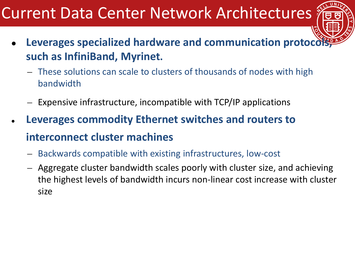#### Current Data Center Network Architectures

- Leverages specialized hardware and communication protocols **such as InfiniBand, Myrinet.**
	- These solutions can scale to clusters of thousands of nodes with high bandwidth
	- Expensive infrastructure, incompatible with TCP/IP applications
- **Leverages commodity Ethernet switches and routers to interconnect cluster machines**
	- Backwards compatible with existing infrastructures, low-cost
	- Aggregate cluster bandwidth scales poorly with cluster size, and achieving the highest levels of bandwidth incurs non-linear cost increase with cluster size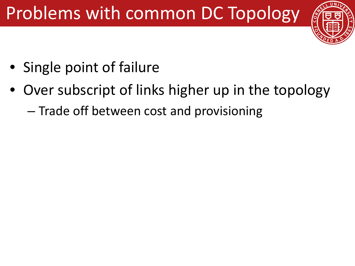## Problems with common DC Topology



- Single point of failure
- Over subscript of links higher up in the topology
	- Trade off between cost and provisioning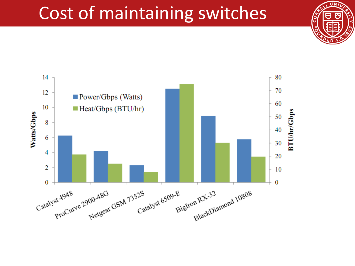#### Cost of maintaining switches



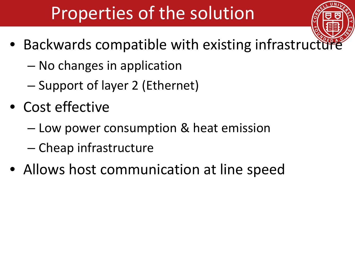## Properties of the solution

- Backwards compatible with existing infrastructure
	- No changes in application
	- Support of layer 2 (Ethernet)
- Cost effective
	- Low power consumption & heat emission
	- Cheap infrastructure
- Allows host communication at line speed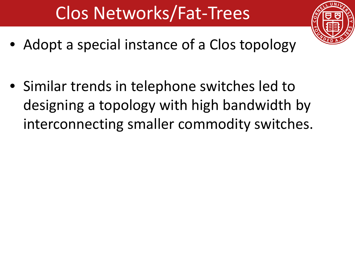## Clos Networks/Fat-Trees

- 
- Adopt a special instance of a Clos topology
- Similar trends in telephone switches led to designing a topology with high bandwidth by interconnecting smaller commodity switches.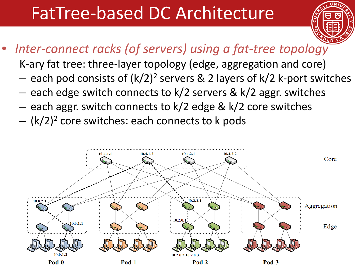#### FatTree-based DC Architecture



#### • *Inter-connect racks (of servers) using a fat-tree topology*

K-ary fat tree: three-layer topology (edge, aggregation and core)

- each pod consists of  $(k/2)^2$  servers & 2 layers of  $k/2$  k-port switches
- each edge switch connects to k/2 servers & k/2 aggr. switches
- each aggr. switch connects to k/2 edge & k/2 core switches
- $-$  (k/2)<sup>2</sup> core switches: each connects to k pods

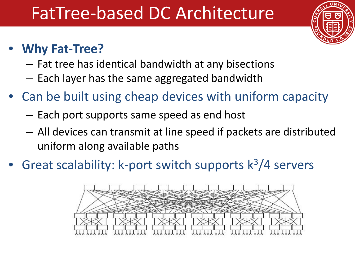#### FatTree-based DC Architecture



#### • **Why Fat-Tree?**

- Fat tree has identical bandwidth at any bisections
- Each layer has the same aggregated bandwidth
- Can be built using cheap devices with uniform capacity
	- Each port supports same speed as end host
	- All devices can transmit at line speed if packets are distributed uniform along available paths
- Great scalability: k-port switch supports  $k^3/4$  servers

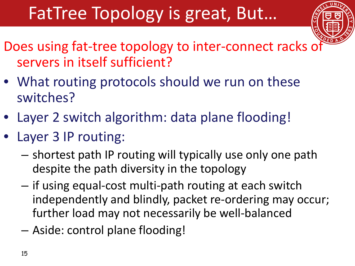## FatTree Topology is great, But…



- Does using fat-tree topology to inter-connect racks of servers in itself sufficient?
- What routing protocols should we run on these switches?
- Layer 2 switch algorithm: data plane flooding!
- Layer 3 IP routing:
	- shortest path IP routing will typically use only one path despite the path diversity in the topology
	- if using equal-cost multi-path routing at each switch independently and blindly, packet re-ordering may occur; further load may not necessarily be well-balanced
	- Aside: control plane flooding!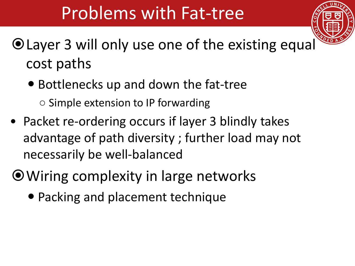#### Problems with Fat-tree



- Layer 3 will only use one of the existing equal cost paths
	- Bottlenecks up and down the fat-tree ○ Simple extension to IP forwarding
- Packet re-ordering occurs if layer 3 blindly takes advantage of path diversity ; further load may not necessarily be well-balanced
- Wiring complexity in large networks
	- Packing and placement technique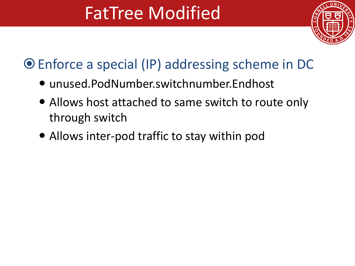

#### Enforce a special (IP) addressing scheme in DC

- unused.PodNumber.switchnumber.Endhost
- Allows host attached to same switch to route only through switch
- Allows inter-pod traffic to stay within pod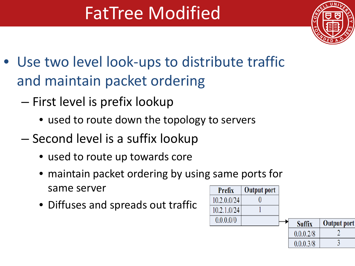

- Use two level look-ups to distribute traffic and maintain packet ordering
	- First level is prefix lookup
		- used to route down the topology to servers
	- Second level is a suffix lookup
		- used to route up towards core
		- maintain packet ordering by using same ports for same server
		- Diffuses and spreads out traffic

| <b>Prefix</b> | <b>Output port</b> |               |                    |
|---------------|--------------------|---------------|--------------------|
| 10.2.0.0/24   |                    |               |                    |
| 10.2.1.0/24   |                    |               |                    |
| 0.0.0.0/0     |                    | <b>Suffix</b> | <b>Output port</b> |
|               |                    | 0.0.0.2/8     |                    |
|               |                    | 0.0.0.3/8     |                    |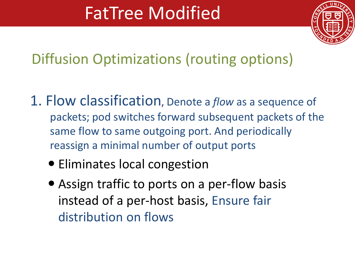

Diffusion Optimizations (routing options)

- 1. Flow classification, Denote a *flow* as a sequence of packets; pod switches forward subsequent packets of the same flow to same outgoing port. And periodically reassign a minimal number of output ports
	- Eliminates local congestion
	- Assign traffic to ports on a per-flow basis instead of a per-host basis, Ensure fair distribution on flows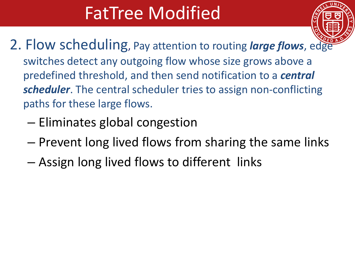

- 2. Flow scheduling, Pay attention to routing *large flows*, edge switches detect any outgoing flow whose size grows above a predefined threshold, and then send notification to a *central scheduler*. The central scheduler tries to assign non-conflicting paths for these large flows.
	- Eliminates global congestion
	- Prevent long lived flows from sharing the same links
	- Assign long lived flows to different links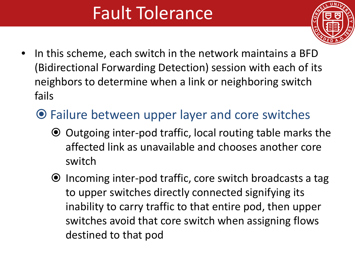### Fault Tolerance



- In this scheme, each switch in the network maintains a BFD (Bidirectional Forwarding Detection) session with each of its neighbors to determine when a link or neighboring switch fails
	- Failure between upper layer and core switches
		- Outgoing inter-pod traffic, local routing table marks the affected link as unavailable and chooses another core switch
		- $\odot$  Incoming inter-pod traffic, core switch broadcasts a tag to upper switches directly connected signifying its inability to carry traffic to that entire pod, then upper switches avoid that core switch when assigning flows destined to that pod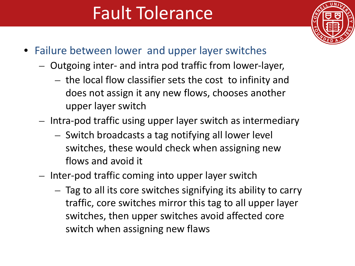### Fault Tolerance



- Failure between lower and upper layer switches
	- Outgoing inter- and intra pod traffic from lower-layer,
		- the local flow classifier sets the cost to infinity and does not assign it any new flows, chooses another upper layer switch
	- Intra-pod traffic using upper layer switch as intermediary
		- Switch broadcasts a tag notifying all lower level switches, these would check when assigning new flows and avoid it
	- Inter-pod traffic coming into upper layer switch
		- Tag to all its core switches signifying its ability to carry traffic, core switches mirror this tag to all upper layer switches, then upper switches avoid affected core switch when assigning new flaws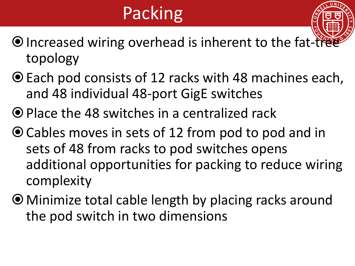## Packing



- Each pod consists of 12 racks with 48 machines each, and 48 individual 48-port GigE switches
- Place the 48 switches in a centralized rack
- Cables moves in sets of 12 from pod to pod and in sets of 48 from racks to pod switches opens additional opportunities for packing to reduce wiring complexity
- Minimize total cable length by placing racks around the pod switch in two dimensions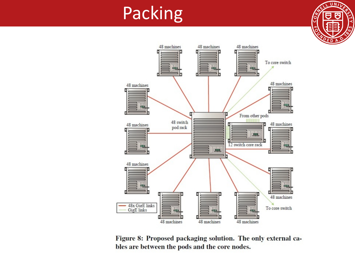#### Packing





Figure 8: Proposed packaging solution. The only external cables are between the pods and the core nodes.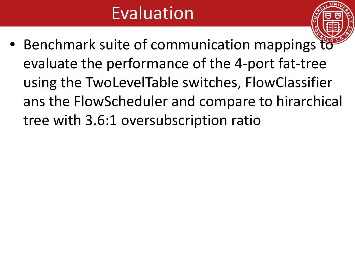### Evaluation

• Benchmark suite of communication mappings to evaluate the performance of the 4-port fat-tree using the TwoLevelTable switches, FlowClassifier ans the FlowScheduler and compare to hirarchical tree with 3.6:1 oversubscription ratio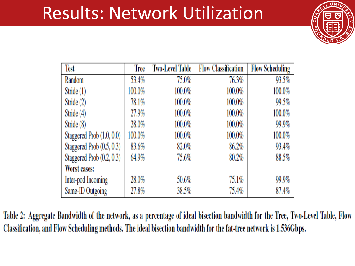#### Results: Network Utilization



| <b>Test</b>               | Tree   | Two-Level Table | <b>Flow Classification</b> | <b>Flow Scheduling</b> |
|---------------------------|--------|-----------------|----------------------------|------------------------|
| Random                    | 53.4%  | 75.0%           | 76.3%                      | 93.5%                  |
| Stride (1)                | 100.0% | 100.0%          | 100.0%                     | 100.0%                 |
| Stride (2)                | 78.1%  | 100.0%          | 100.0%                     | 99.5%                  |
| Stride (4)                | 27.9%  | 100.0%          | 100.0%                     | 100.0%                 |
| Stride (8)                | 28.0%  | 100.0%          | 100.0%                     | 99.9%                  |
| Staggered Prob (1.0, 0.0) | 100.0% | 100.0%          | 100.0%                     | 100.0%                 |
| Staggered Prob (0.5, 0.3) | 83.6%  | 82.0%           | 86.2%                      | 93.4%                  |
| Staggered Prob (0.2, 0.3) | 64.9%  | 75.6%           | 80.2%                      | $88.5\%$               |
| Worst cases:              |        |                 |                            |                        |
| Inter-pod Incoming        | 28.0%  | 50.6%           | 75.1%                      | 99.9%                  |
| Same-ID Outgoing          | 27.8%  | 38.5%           | 75.4%                      | 87.4%                  |

Table 2: Aggregate Bandwidth of the network, as a percentage of ideal bisection bandwidth for the Tree, Two-Level Table, Flow Classification, and Flow Scheduling methods. The ideal bisection bandwidth for the fat-tree network is 1.536Gbps.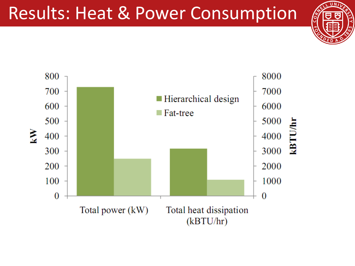#### Results: Heat & Power Consumption



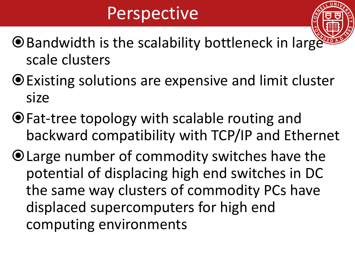#### **Perspective**

- $\odot$  Bandwidth is the scalability bottleneck in large scale clusters
- Existing solutions are expensive and limit cluster size
- Fat-tree topology with scalable routing and backward compatibility with TCP/IP and Ethernet
- Large number of commodity switches have the potential of displacing high end switches in DC the same way clusters of commodity PCs have displaced supercomputers for high end computing environments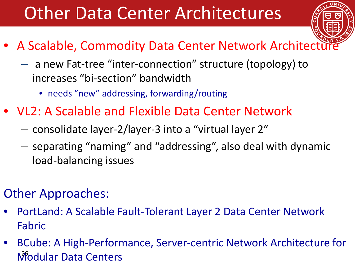#### Other Data Center Architectures

- 
- A Scalable, Commodity Data Center Network Architectu
	- a new Fat-tree "inter-connection" structure (topology) to increases "bi-section" bandwidth
		- needs "new" addressing, forwarding/routing
- VL2: A Scalable and Flexible Data Center Network
	- consolidate layer-2/layer-3 into a "virtual layer 2"
	- separating "naming" and "addressing", also deal with dynamic load-balancing issues
- Other Approaches:
- PortLand: A Scalable Fault-Tolerant Layer 2 Data Center Network Fabric
- BCube: A High-Performance, Server-centric Network Architecture for Modular Data Centers